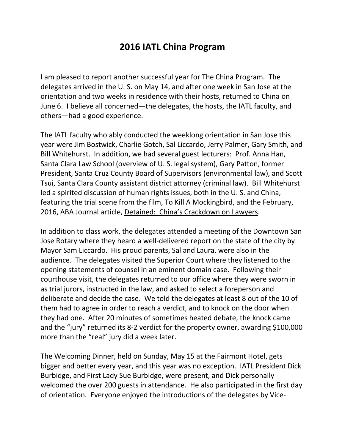## **2016 IATL China Program**

I am pleased to report another successful year for The China Program. The delegates arrived in the U. S. on May 14, and after one week in San Jose at the orientation and two weeks in residence with their hosts, returned to China on June 6. I believe all concerned—the delegates, the hosts, the IATL faculty, and others—had a good experience.

The IATL faculty who ably conducted the weeklong orientation in San Jose this year were Jim Bostwick, Charlie Gotch, Sal Liccardo, Jerry Palmer, Gary Smith, and Bill Whitehurst. In addition, we had several guest lecturers: Prof. Anna Han, Santa Clara Law School (overview of U. S. legal system), Gary Patton, former President, Santa Cruz County Board of Supervisors (environmental law), and Scott Tsui, Santa Clara County assistant district attorney (criminal law). Bill Whitehurst led a spirited discussion of human rights issues, both in the U. S. and China, featuring the trial scene from the film, To Kill A Mockingbird, and the February, 2016, ABA Journal article, Detained: China's Crackdown on Lawyers.

In addition to class work, the delegates attended a meeting of the Downtown San Jose Rotary where they heard a well-delivered report on the state of the city by Mayor Sam Liccardo. His proud parents, Sal and Laura, were also in the audience. The delegates visited the Superior Court where they listened to the opening statements of counsel in an eminent domain case. Following their courthouse visit, the delegates returned to our office where they were sworn in as trial jurors, instructed in the law, and asked to select a foreperson and deliberate and decide the case. We told the delegates at least 8 out of the 10 of them had to agree in order to reach a verdict, and to knock on the door when they had one. After 20 minutes of sometimes heated debate, the knock came and the "jury" returned its 8-2 verdict for the property owner, awarding \$100,000 more than the "real" jury did a week later.

The Welcoming Dinner, held on Sunday, May 15 at the Fairmont Hotel, gets bigger and better every year, and this year was no exception. IATL President Dick Burbidge, and First Lady Sue Burbidge, were present, and Dick personally welcomed the over 200 guests in attendance. He also participated in the first day of orientation. Everyone enjoyed the introductions of the delegates by Vice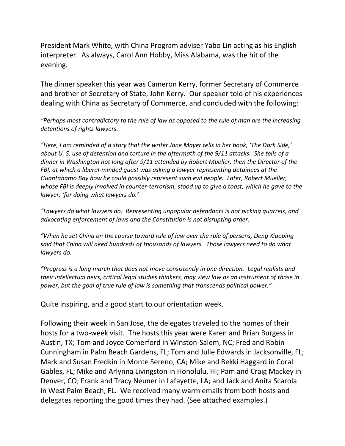President Mark White, with China Program adviser Yabo Lin acting as his English interpreter. As always, Carol Ann Hobby, Miss Alabama, was the hit of the evening.

The dinner speaker this year was Cameron Kerry, former Secretary of Commerce and brother of Secretary of State, John Kerry. Our speaker told of his experiences dealing with China as Secretary of Commerce, and concluded with the following:

*"Perhaps most contradictory to the rule of law as opposed to the rule of man are the increasing detentions of rights lawyers.* 

*"Here, I am reminded of a story that the writer Jane Mayer tells in her book, 'The Dark Side,' about U. S. use of detention and torture in the aftermath of the 9/11 attacks. She tells of a dinner in Washington not long after 9/11 attended by Robert Mueller, then the Director of the FBI, at which a liberal-minded guest was asking a lawyer representing detainees at the Guantanamo Bay how he could possibly represent such evil people. Later, Robert Mueller, whose FBI is deeply involved in counter-terrorism, stood up to give a toast, which he gave to the lawyer, 'for doing what lawyers do.'*

*"Lawyers do what lawyers do. Representing unpopular defendants is not picking quarrels, and advocating enforcement of laws and the Constitution is not disrupting order.* 

*"When he set China on the course toward rule of law over the rule of persons, Deng Xiaoping said that China will need hundreds of thousands of lawyers. Those lawyers need to do what lawyers do.* 

*"Progress is a long march that does not move consistently in one direction. Legal realists and their intellectual heirs, critical legal studies thinkers, may view law as an instrument of those in power, but the goal of true rule of law is something that transcends political power."*

Quite inspiring, and a good start to our orientation week.

Following their week in San Jose, the delegates traveled to the homes of their hosts for a two-week visit. The hosts this year were Karen and Brian Burgess in Austin, TX; Tom and Joyce Comerford in Winston-Salem, NC; Fred and Robin Cunningham in Palm Beach Gardens, FL; Tom and Julie Edwards in Jacksonville, FL; Mark and Susan Fredkin in Monte Sereno, CA; Mike and Bekki Haggard in Coral Gables, FL; Mike and Arlynna Livingston in Honolulu, HI; Pam and Craig Mackey in Denver, CO; Frank and Tracy Neuner in Lafayette, LA; and Jack and Anita Scarola in West Palm Beach, FL. We received many warm emails from both hosts and delegates reporting the good times they had. (See attached examples.)